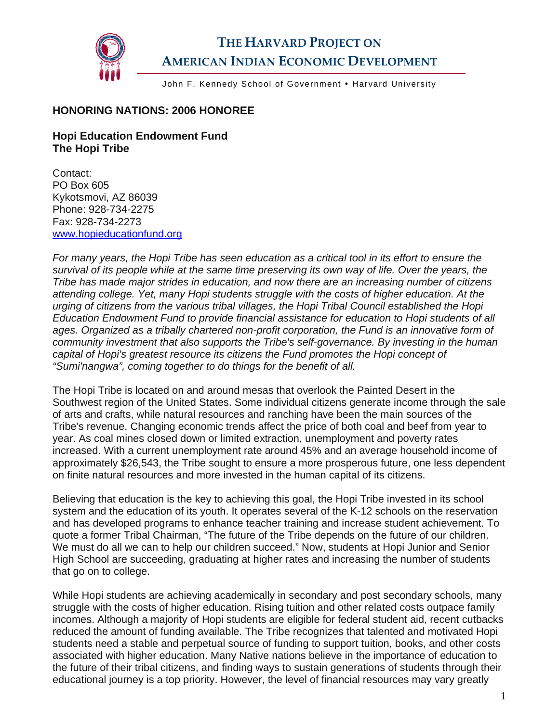

## **THE HARVARD PROJECT ON AMERICAN INDIAN ECONOMIC DEVELOPMENT**

John F. Kennedy School of Government . Harvard University

## **HONORING NATIONS: 2006 HONOREE**

## **Hopi Education Endowment Fund The Hopi Tribe**

Contact: PO Box 605 Kykotsmovi, AZ 86039 Phone: 928-734-2275 Fax: 928-734-2273 [www.hopieducationfund.org](http://www.hopieducationfund.org/) 

*For many years, the Hopi Tribe has seen education as a critical tool in its effort to ensure the survival of its people while at the same time preserving its own way of life. Over the years, the Tribe has made major strides in education, and now there are an increasing number of citizens attending college. Yet, many Hopi students struggle with the costs of higher education. At the urging of citizens from the various tribal villages, the Hopi Tribal Council established the Hopi Education Endowment Fund to provide financial assistance for education to Hopi students of all ages. Organized as a tribally chartered non-profit corporation, the Fund is an innovative form of community investment that also supports the Tribe's self-governance. By investing in the human capital of Hopi's greatest resource its citizens the Fund promotes the Hopi concept of "Sumi'nangwa", coming together to do things for the benefit of all.* 

The Hopi Tribe is located on and around mesas that overlook the Painted Desert in the Southwest region of the United States. Some individual citizens generate income through the sale of arts and crafts, while natural resources and ranching have been the main sources of the Tribe's revenue. Changing economic trends affect the price of both coal and beef from year to year. As coal mines closed down or limited extraction, unemployment and poverty rates increased. With a current unemployment rate around 45% and an average household income of approximately \$26,543, the Tribe sought to ensure a more prosperous future, one less dependent on finite natural resources and more invested in the human capital of its citizens.

Believing that education is the key to achieving this goal, the Hopi Tribe invested in its school system and the education of its youth. It operates several of the K-12 schools on the reservation and has developed programs to enhance teacher training and increase student achievement. To quote a former Tribal Chairman, "The future of the Tribe depends on the future of our children. We must do all we can to help our children succeed." Now, students at Hopi Junior and Senior High School are succeeding, graduating at higher rates and increasing the number of students that go on to college.

While Hopi students are achieving academically in secondary and post secondary schools, many struggle with the costs of higher education. Rising tuition and other related costs outpace family incomes. Although a majority of Hopi students are eligible for federal student aid, recent cutbacks reduced the amount of funding available. The Tribe recognizes that talented and motivated Hopi students need a stable and perpetual source of funding to support tuition, books, and other costs associated with higher education. Many Native nations believe in the importance of education to the future of their tribal citizens, and finding ways to sustain generations of students through their educational journey is a top priority. However, the level of financial resources may vary greatly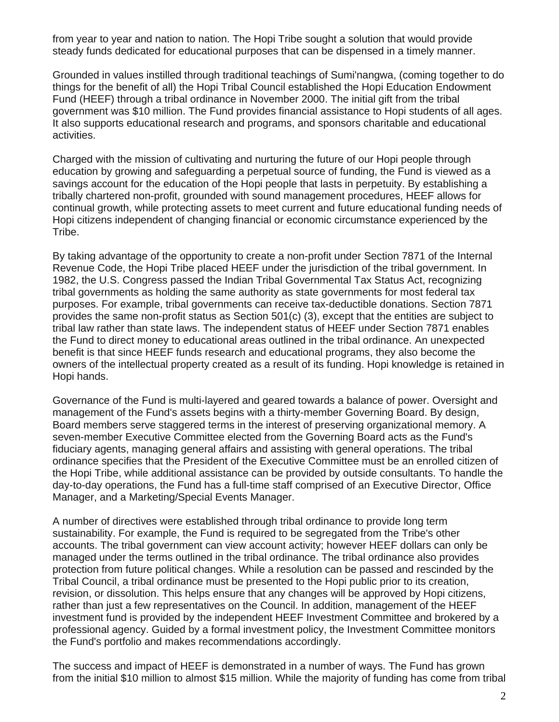from year to year and nation to nation. The Hopi Tribe sought a solution that would provide steady funds dedicated for educational purposes that can be dispensed in a timely manner.

Grounded in values instilled through traditional teachings of Sumi'nangwa, (coming together to do things for the benefit of all) the Hopi Tribal Council established the Hopi Education Endowment Fund (HEEF) through a tribal ordinance in November 2000. The initial gift from the tribal government was \$10 million. The Fund provides financial assistance to Hopi students of all ages. It also supports educational research and programs, and sponsors charitable and educational activities.

Charged with the mission of cultivating and nurturing the future of our Hopi people through education by growing and safeguarding a perpetual source of funding, the Fund is viewed as a savings account for the education of the Hopi people that lasts in perpetuity. By establishing a tribally chartered non-profit, grounded with sound management procedures, HEEF allows for continual growth, while protecting assets to meet current and future educational funding needs of Hopi citizens independent of changing financial or economic circumstance experienced by the Tribe.

By taking advantage of the opportunity to create a non-profit under Section 7871 of the Internal Revenue Code, the Hopi Tribe placed HEEF under the jurisdiction of the tribal government. In 1982, the U.S. Congress passed the Indian Tribal Governmental Tax Status Act, recognizing tribal governments as holding the same authority as state governments for most federal tax purposes. For example, tribal governments can receive tax-deductible donations. Section 7871 provides the same non-profit status as Section 501(c) (3), except that the entities are subject to tribal law rather than state laws. The independent status of HEEF under Section 7871 enables the Fund to direct money to educational areas outlined in the tribal ordinance. An unexpected benefit is that since HEEF funds research and educational programs, they also become the owners of the intellectual property created as a result of its funding. Hopi knowledge is retained in Hopi hands.

Governance of the Fund is multi-layered and geared towards a balance of power. Oversight and management of the Fund's assets begins with a thirty-member Governing Board. By design, Board members serve staggered terms in the interest of preserving organizational memory. A seven-member Executive Committee elected from the Governing Board acts as the Fund's fiduciary agents, managing general affairs and assisting with general operations. The tribal ordinance specifies that the President of the Executive Committee must be an enrolled citizen of the Hopi Tribe, while additional assistance can be provided by outside consultants. To handle the day-to-day operations, the Fund has a full-time staff comprised of an Executive Director, Office Manager, and a Marketing/Special Events Manager.

A number of directives were established through tribal ordinance to provide long term sustainability. For example, the Fund is required to be segregated from the Tribe's other accounts. The tribal government can view account activity; however HEEF dollars can only be managed under the terms outlined in the tribal ordinance. The tribal ordinance also provides protection from future political changes. While a resolution can be passed and rescinded by the Tribal Council, a tribal ordinance must be presented to the Hopi public prior to its creation, revision, or dissolution. This helps ensure that any changes will be approved by Hopi citizens, rather than just a few representatives on the Council. In addition, management of the HEEF investment fund is provided by the independent HEEF Investment Committee and brokered by a professional agency. Guided by a formal investment policy, the Investment Committee monitors the Fund's portfolio and makes recommendations accordingly.

The success and impact of HEEF is demonstrated in a number of ways. The Fund has grown from the initial \$10 million to almost \$15 million. While the majority of funding has come from tribal